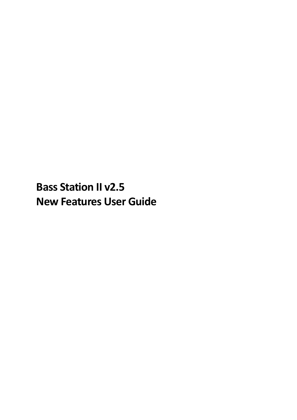**Bass Station II v2.5 New Features User Guide**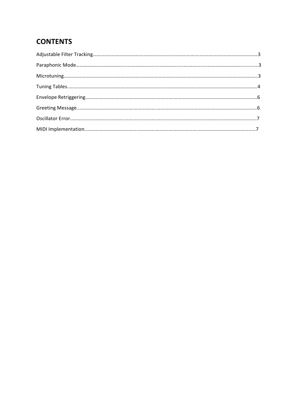# **CONTENTS**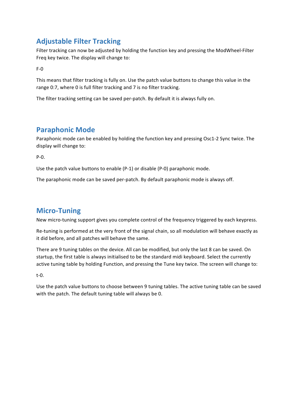# **Adjustable Filter Tracking**

Filter tracking can now be adjusted by holding the function key and pressing the ModWheel-Filter Freq key twice. The display will change to:

F-0 

This means that filter tracking is fully on. Use the patch value buttons to change this value in the range 0:7, where 0 is full filter tracking and 7 is no filter tracking.

The filter tracking setting can be saved per-patch. By default it is always fully on.

## **Paraphonic Mode**

Paraphonic mode can be enabled by holding the function key and pressing Osc1-2 Sync twice. The display will change to:

 $P - Q$ .

Use the patch value buttons to enable  $(P-1)$  or disable  $(P-0)$  paraphonic mode.

The paraphonic mode can be saved per-patch. By default paraphonic mode is always off.

## **Micro-Tuning**

New micro-tuning support gives you complete control of the frequency triggered by each keypress.

Re-tuning is performed at the very front of the signal chain, so all modulation will behave exactly as it did before, and all patches will behave the same.

There are 9 tuning tables on the device. All can be modified, but only the last 8 can be saved. On startup, the first table is always initialised to be the standard midi keyboard. Select the currently active tuning table by holding Function, and pressing the Tune key twice. The screen will change to:

t-0.

Use the patch value buttons to choose between 9 tuning tables. The active tuning table can be saved with the patch. The default tuning table will always be 0.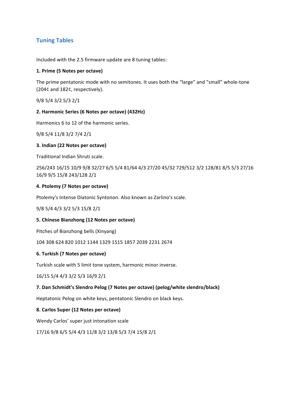## **Tuning Tables**

Included with the 2.5 firmware update are 8 tuning tables:

#### **1. Prime (5 Notes per octave)**

The prime pentatonic mode with no semitones. It uses both the "large" and "small" whole-tone (204¢ and 182¢, respectively).

9/8 5/4 3/2 5/3 2/1

#### **2. Harmonic Series (6 Notes per octave) (432Hz)**

Harmonics 6 to 12 of the harmonic series.

9/8 5/4 11/8 3/2 7/4 2/1

#### **3. Indian (22 Notes per octave)**

Traditional Indian Shruti scale.

256/243 16/15 10/9 9/8 32/27 6/5 5/4 81/64 4/3 27/20 45/32 729/512 3/2 128/81 8/5 5/3 27/16 16/9 9/5 15/8 243/128 2/1

#### **4. Ptolemy (7 Notes per octave)**

Ptolemy's Intense Diatonic Syntonon. Also known as Zarlino's scale.

9/8 5/4 4/3 3/2 5/3 15/8 2/1

#### **5. Chinese Bianzhong (12 Notes per octave)**

Pitches of Bianzhong bells (Xinyang)

104 308 624 820 1012 1144 1329 1515 1857 2039 2231 2674

#### **6. Turkish (7 Notes per octave)**

Turkish scale with 5 limit tone system, harmonic minor inverse.

16/15 5/4 4/3 3/2 5/3 16/9 2/1

#### **7.** Dan Schmidt's Slendro Pelog (7 Notes per octave) (pelog/white slendro/black)

Heptatonic Pelog on white keys, pentatonic Slendro on black keys.

#### **8. Carlos Super (12 Notes per octave)**

Wendy Carlos' super just intonation scale

17/16 9/8 6/5 5/4 4/3 11/8 3/2 13/8 5/3 7/4 15/8 2/1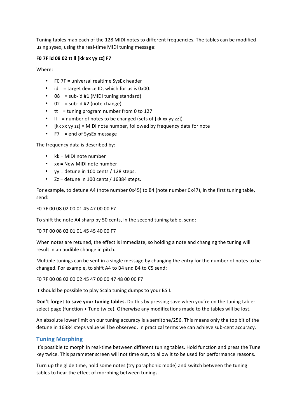Tuning tables map each of the 128 MIDI notes to different frequencies. The tables can be modified using sysex, using the real-time MIDI tuning message:

#### **F0 7F id 08 02 tt ll [kk xx yy zz] F7**

Where:

- FO  $7F =$  universal realtime SysEx header
- id = target device ID, which for us is  $0x00$ .
- $08 = sub-id #1$  (MIDI tuning standard)
- $\bullet$  02 = sub-id #2 (note change)
- $tt = tuning program number from 0 to 127$
- $\parallel$  = number of notes to be changed (sets of [kk xx yy zz])
- [kk xx yy zz] = MIDI note number, followed by frequency data for note
- $F7 = end of SysEx message$

The frequency data is described by:

- $kk = MIDI$  note number
- $xx = New MIDI note number$
- $yy = detune in 100 cents / 128 steps.$
- $Zz =$  detune in 100 cents / 16384 steps.

For example, to detune A4 (note number 0x45) to B4 (note number 0x47), in the first tuning table, send:

F0 7F 00 08 02 00 01 45 47 00 00 F7

To shift the note A4 sharp by 50 cents, in the second tuning table, send:

F0 7F 00 08 02 01 01 45 45 40 00 F7

When notes are retuned, the effect is immediate, so holding a note and changing the tuning will result in an audible change in pitch.

Multiple tunings can be sent in a single message by changing the entry for the number of notes to be changed. For example, to shift A4 to B4 and B4 to C5 send:

F0 7F 00 08 02 00 02 45 47 00 00 47 48 00 00 F7

It should be possible to play Scala tuning dumps to your BSII.

**Don't forget to save your tuning tables.** Do this by pressing save when you're on the tuning tableselect page (function + Tune twice). Otherwise any modifications made to the tables will be lost.

An absolute lower limit on our tuning accuracy is a semitone/256. This means only the top bit of the detune in 16384 steps value will be observed. In practical terms we can achieve sub-cent accuracy.

#### **Tuning Morphing**

It's possible to morph in real-time between different tuning tables. Hold function and press the Tune key twice. This parameter screen will not time out, to allow it to be used for performance reasons.

Turn up the glide time, hold some notes (try paraphonic mode) and switch between the tuning tables to hear the effect of morphing between tunings.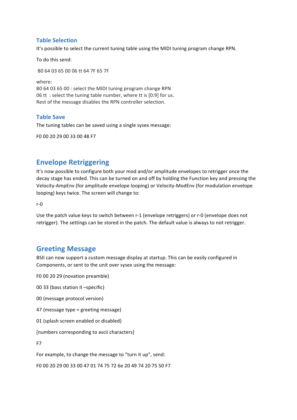### **Table Selection**

It's possible to select the current tuning table using the MIDI tuning program change RPN.

To do this send:

B0 64 03 65 00 06 tt 64 7F 65 7F

where: B0 64 03 65 00 : select the MIDI tuning program change RPN 06 tt : select the tuning table number, where tt is  $[0:9]$  for us. Rest of the message disables the RPN controller selection.

### **Table Save**

The tuning tables can be saved using a single sysex message:

F0 00 20 29 00 33 00 48 F7

## **Envelope Retriggering**

It's now possible to configure both your mod and/or amplitude envelopes to retrigger once the decay stage has ended. This can be turned on and off by holding the Function key and pressing the Velocity-AmpEnv (for amplitude envelope looping) or Velocity-ModEnv (for modulation envelope looping) keys twice. The screen will change to:

r-0

Use the patch value keys to switch between r-1 (envelope retriggers) or r-0 (envelope does not retrigger). The settings can be stored in the patch. The default value is always to not retrigger.

## **Greeting Message**

BSII can now support a custom message display at startup. This can be easily configured in Components, or sent to the unit over sysex using the message:

F0 00 20 29 (novation preamble)

00 33 (bass station II -specific)

00 (message protocol version)

47 (message type = greeting message)

01 (splash screen enabled or disabled)

[numbers corresponding to ascii characters]

F7

For example, to change the message to "turn it up", send:

F0 00 20 29 00 33 00 47 01 74 75 72 6e 20 49 74 20 75 50 F7